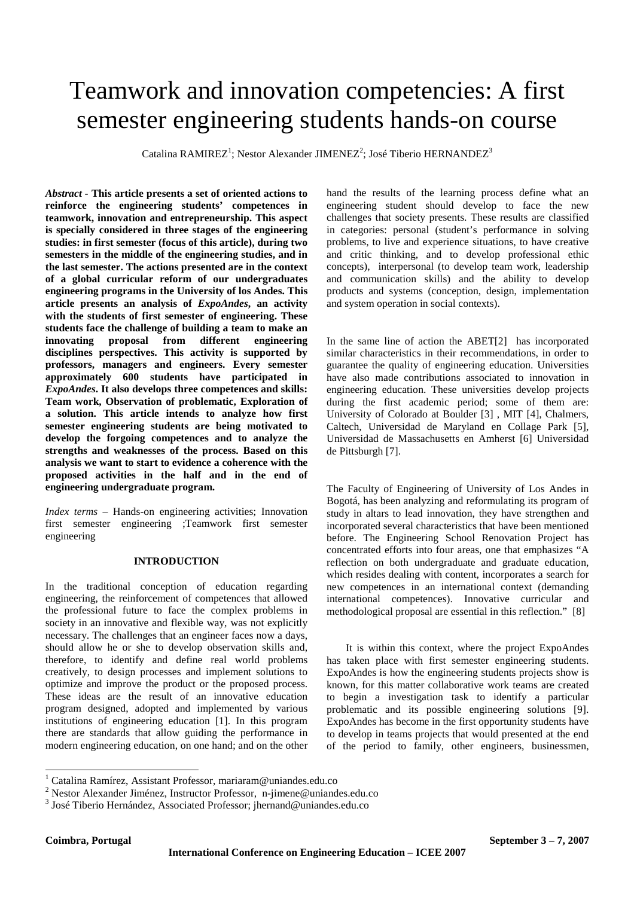# Teamwork and innovation competencies: A first semester engineering students hands-on course

Catalina RAMIREZ<sup>1</sup>; Nestor Alexander JIMENEZ<sup>2</sup>; José Tiberio HERNANDEZ<sup>3</sup>

*Abstract -* **This article presents a set of oriented actions to reinforce the engineering students' competences in teamwork, innovation and entrepreneurship. This aspect is specially considered in three stages of the engineering studies: in first semester (focus of this article), during two semesters in the middle of the engineering studies, and in the last semester. The actions presented are in the context of a global curricular reform of our undergraduates engineering programs in the University of los Andes. This article presents an analysis of** *ExpoAndes***, an activity with the students of first semester of engineering. These students face the challenge of building a team to make an innovating proposal from different engineering disciplines perspectives. This activity is supported by professors, managers and engineers. Every semester approximately 600 students have participated in**  *ExpoAndes***. It also develops three competences and skills: Team work, Observation of problematic, Exploration of a solution. This article intends to analyze how first semester engineering students are being motivated to develop the forgoing competences and to analyze the strengths and weaknesses of the process. Based on this analysis we want to start to evidence a coherence with the proposed activities in the half and in the end of engineering undergraduate program.** 

*Index terms* – Hands-on engineering activities; Innovation first semester engineering ;Teamwork first semester engineering

### **INTRODUCTION**

In the traditional conception of education regarding engineering, the reinforcement of competences that allowed the professional future to face the complex problems in society in an innovative and flexible way, was not explicitly necessary. The challenges that an engineer faces now a days, should allow he or she to develop observation skills and, therefore, to identify and define real world problems creatively, to design processes and implement solutions to optimize and improve the product or the proposed process. These ideas are the result of an innovative education program designed, adopted and implemented by various institutions of engineering education [1]. In this program there are standards that allow guiding the performance in modern engineering education, on one hand; and on the other hand the results of the learning process define what an engineering student should develop to face the new challenges that society presents. These results are classified in categories: personal (student's performance in solving problems, to live and experience situations, to have creative and critic thinking, and to develop professional ethic concepts), interpersonal (to develop team work, leadership and communication skills) and the ability to develop products and systems (conception, design, implementation and system operation in social contexts).

In the same line of action the ABET[2] has incorporated similar characteristics in their recommendations, in order to guarantee the quality of engineering education. Universities have also made contributions associated to innovation in engineering education. These universities develop projects during the first academic period; some of them are: University of Colorado at Boulder [3] , MIT [4], Chalmers, Caltech, Universidad de Maryland en Collage Park [5], Universidad de Massachusetts en Amherst [6] Universidad de Pittsburgh [7].

The Faculty of Engineering of University of Los Andes in Bogotá, has been analyzing and reformulating its program of study in altars to lead innovation, they have strengthen and incorporated several characteristics that have been mentioned before. The Engineering School Renovation Project has concentrated efforts into four areas, one that emphasizes "A reflection on both undergraduate and graduate education, which resides dealing with content, incorporates a search for new competences in an international context (demanding international competences). Innovative curricular and methodological proposal are essential in this reflection." [8]

It is within this context, where the project ExpoAndes has taken place with first semester engineering students. ExpoAndes is how the engineering students projects show is known, for this matter collaborative work teams are created to begin a investigation task to identify a particular problematic and its possible engineering solutions [9]. ExpoAndes has become in the first opportunity students have to develop in teams projects that would presented at the end of the period to family, other engineers, businessmen,

 1 Catalina Ramírez, Assistant Professor, mariaram@uniandes.edu.co

<sup>&</sup>lt;sup>2</sup> Nestor Alexander Jiménez, Instructor Professor, n-jimene@uniandes.edu.co

<sup>&</sup>lt;sup>3</sup> José Tiberio Hernández, Associated Professor; jhernand@uniandes.edu.co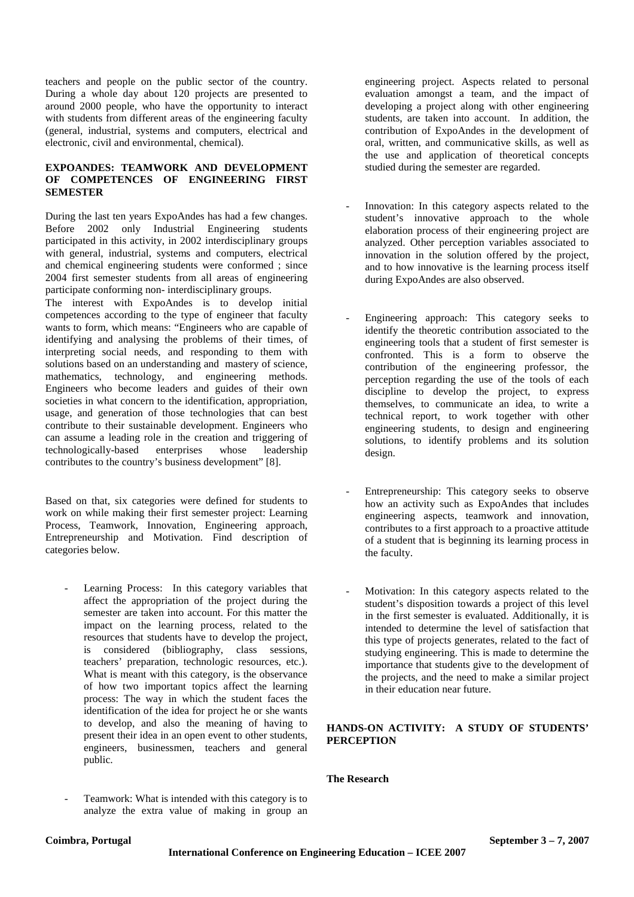teachers and people on the public sector of the country. During a whole day about 120 projects are presented to around 2000 people, who have the opportunity to interact with students from different areas of the engineering faculty (general, industrial, systems and computers, electrical and electronic, civil and environmental, chemical).

# **EXPOANDES: TEAMWORK AND DEVELOPMENT OF COMPETENCES OF ENGINEERING FIRST SEMESTER**

During the last ten years ExpoAndes has had a few changes. Before 2002 only Industrial Engineering students participated in this activity, in 2002 interdisciplinary groups with general, industrial, systems and computers, electrical and chemical engineering students were conformed ; since 2004 first semester students from all areas of engineering participate conforming non- interdisciplinary groups.

The interest with ExpoAndes is to develop initial competences according to the type of engineer that faculty wants to form, which means: "Engineers who are capable of identifying and analysing the problems of their times, of interpreting social needs, and responding to them with solutions based on an understanding and mastery of science, mathematics, technology, and engineering methods. Engineers who become leaders and guides of their own societies in what concern to the identification, appropriation, usage, and generation of those technologies that can best contribute to their sustainable development. Engineers who can assume a leading role in the creation and triggering of technologically-based enterprises whose leadership contributes to the country's business development" [8].

Based on that, six categories were defined for students to work on while making their first semester project: Learning Process, Teamwork, Innovation, Engineering approach, Entrepreneurship and Motivation. Find description of categories below.

- Learning Process: In this category variables that affect the appropriation of the project during the semester are taken into account. For this matter the impact on the learning process, related to the resources that students have to develop the project, is considered (bibliography, class sessions, teachers' preparation, technologic resources, etc.). What is meant with this category, is the observance of how two important topics affect the learning process: The way in which the student faces the identification of the idea for project he or she wants to develop, and also the meaning of having to present their idea in an open event to other students, engineers, businessmen, teachers and general public.
- Teamwork: What is intended with this category is to analyze the extra value of making in group an

engineering project. Aspects related to personal evaluation amongst a team, and the impact of developing a project along with other engineering students, are taken into account. In addition, the contribution of ExpoAndes in the development of oral, written, and communicative skills, as well as the use and application of theoretical concepts studied during the semester are regarded.

- Innovation: In this category aspects related to the student's innovative approach to the whole elaboration process of their engineering project are analyzed. Other perception variables associated to innovation in the solution offered by the project, and to how innovative is the learning process itself during ExpoAndes are also observed.
- Engineering approach: This category seeks to identify the theoretic contribution associated to the engineering tools that a student of first semester is confronted. This is a form to observe the contribution of the engineering professor, the perception regarding the use of the tools of each discipline to develop the project, to express themselves, to communicate an idea, to write a technical report, to work together with other engineering students, to design and engineering solutions, to identify problems and its solution design.
- Entrepreneurship: This category seeks to observe how an activity such as ExpoAndes that includes engineering aspects, teamwork and innovation, contributes to a first approach to a proactive attitude of a student that is beginning its learning process in the faculty.
- Motivation: In this category aspects related to the student's disposition towards a project of this level in the first semester is evaluated. Additionally, it is intended to determine the level of satisfaction that this type of projects generates, related to the fact of studying engineering. This is made to determine the importance that students give to the development of the projects, and the need to make a similar project in their education near future.

# **HANDS-ON ACTIVITY: A STUDY OF STUDENTS' PERCEPTION**

# **The Research**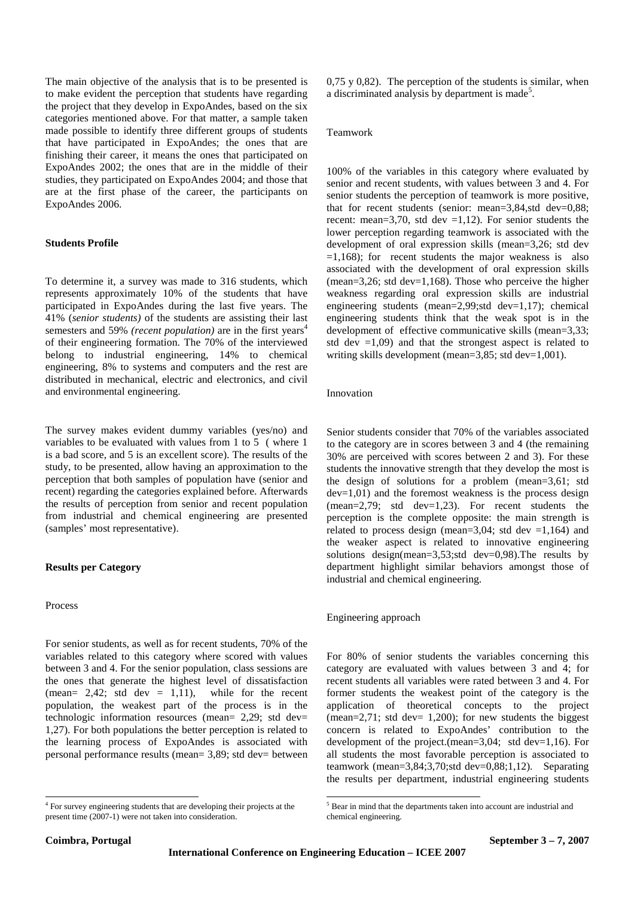The main objective of the analysis that is to be presented is to make evident the perception that students have regarding the project that they develop in ExpoAndes, based on the six categories mentioned above. For that matter, a sample taken made possible to identify three different groups of students that have participated in ExpoAndes; the ones that are finishing their career, it means the ones that participated on ExpoAndes 2002; the ones that are in the middle of their studies, they participated on ExpoAndes 2004; and those that are at the first phase of the career, the participants on ExpoAndes 2006.

#### **Students Profile**

To determine it, a survey was made to 316 students, which represents approximately 10% of the students that have participated in ExpoAndes during the last five years. The 41% (*senior students)* of the students are assisting their last semesters and 59% *(recent population)* are in the first years<sup>4</sup> of their engineering formation. The 70% of the interviewed belong to industrial engineering, 14% to chemical engineering, 8% to systems and computers and the rest are distributed in mechanical, electric and electronics, and civil and environmental engineering.

The survey makes evident dummy variables (yes/no) and variables to be evaluated with values from 1 to 5 ( where 1 is a bad score, and 5 is an excellent score). The results of the study, to be presented, allow having an approximation to the perception that both samples of population have (senior and recent) regarding the categories explained before. Afterwards the results of perception from senior and recent population from industrial and chemical engineering are presented (samples' most representative).

#### **Results per Category**

#### Process

For senior students, as well as for recent students, 70% of the variables related to this category where scored with values between 3 and 4. For the senior population, class sessions are the ones that generate the highest level of dissatisfaction (mean=  $2,42$ ; std dev =  $1,11$ ), while for the recent population, the weakest part of the process is in the technologic information resources (mean= 2,29; std dev= 1,27). For both populations the better perception is related to the learning process of ExpoAndes is associated with personal performance results (mean= 3,89; std dev= between

0,75 y 0,82). The perception of the students is similar, when a discriminated analysis by department is made<sup>5</sup>.

#### Teamwork

100% of the variables in this category where evaluated by senior and recent students, with values between 3 and 4. For senior students the perception of teamwork is more positive, that for recent students (senior: mean=3,84,std dev=0,88; recent: mean=3,70, std dev =1,12). For senior students the lower perception regarding teamwork is associated with the development of oral expression skills (mean=3,26; std dev  $=1,168$ ; for recent students the major weakness is also associated with the development of oral expression skills  $(mean=3,26; std dev=1,168)$ . Those who perceive the higher weakness regarding oral expression skills are industrial engineering students (mean=2,99;std dev=1,17); chemical engineering students think that the weak spot is in the development of effective communicative skills (mean=3,33; std dev  $=1,09$ ) and that the strongest aspect is related to writing skills development (mean=3,85; std dev=1,001).

#### Innovation

Senior students consider that 70% of the variables associated to the category are in scores between 3 and 4 (the remaining 30% are perceived with scores between 2 and 3). For these students the innovative strength that they develop the most is the design of solutions for a problem (mean=3,61; std  $dev=1,01$  and the foremost weakness is the process design (mean=2,79; std dev=1,23). For recent students the perception is the complete opposite: the main strength is related to process design (mean= $3,04$ ; std dev = $1,164$ ) and the weaker aspect is related to innovative engineering solutions design(mean= $3,53$ ;std dev=0,98). The results by department highlight similar behaviors amongst those of industrial and chemical engineering.

Engineering approach

For 80% of senior students the variables concerning this category are evaluated with values between 3 and 4; for recent students all variables were rated between 3 and 4. For former students the weakest point of the category is the application of theoretical concepts to the project (mean=2,71; std dev=  $1,200$ ); for new students the biggest concern is related to ExpoAndes' contribution to the development of the project. (mean= $3.04$ ; std dev= $1.16$ ). For all students the most favorable perception is associated to teamwork (mean=3,84;3,70;std dev=0,88;1,12). Separating the results per department, industrial engineering students

-

 4 For survey engineering students that are developing their projects at the present time (2007-1) were not taken into consideration.

<sup>&</sup>lt;sup>5</sup> Bear in mind that the departments taken into account are industrial and chemical engineering.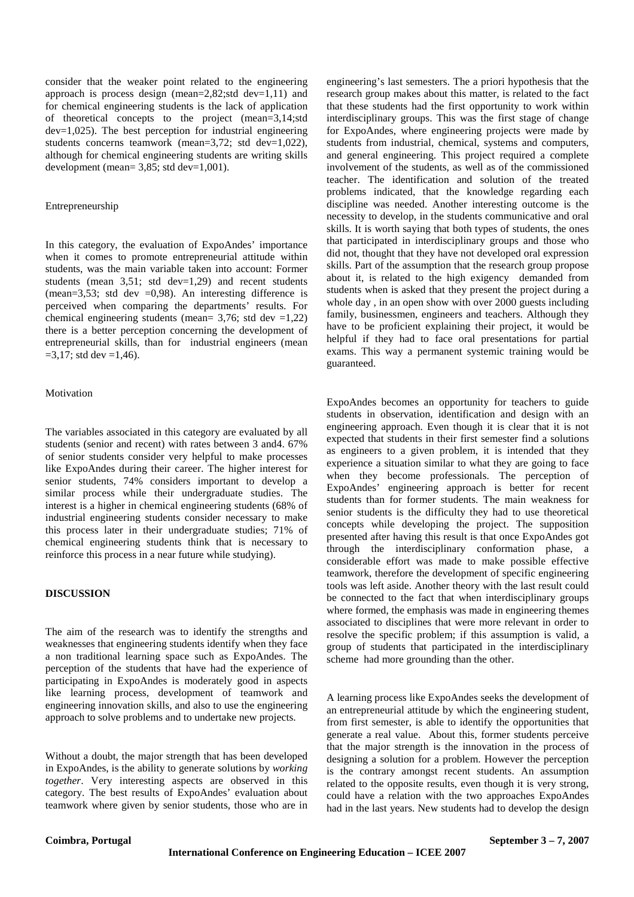consider that the weaker point related to the engineering approach is process design (mean=2,82;std dev=1,11) and for chemical engineering students is the lack of application of theoretical concepts to the project (mean=3,14;std dev=1,025). The best perception for industrial engineering students concerns teamwork (mean=3,72; std dev=1,022), although for chemical engineering students are writing skills development (mean=  $3,85$ ; std dev= $1,001$ ).

#### Entrepreneurship

In this category, the evaluation of ExpoAndes' importance when it comes to promote entrepreneurial attitude within students, was the main variable taken into account: Former students (mean 3,51; std dev=1,29) and recent students (mean=3,53; std dev =0,98). An interesting difference is perceived when comparing the departments' results. For chemical engineering students (mean=  $3,76$ ; std dev =1,22) there is a better perception concerning the development of entrepreneurial skills, than for industrial engineers (mean  $=3,17$ ; std dev  $=1,46$ ).

# Motivation

The variables associated in this category are evaluated by all students (senior and recent) with rates between 3 and4. 67% of senior students consider very helpful to make processes like ExpoAndes during their career. The higher interest for senior students, 74% considers important to develop a similar process while their undergraduate studies. The interest is a higher in chemical engineering students (68% of industrial engineering students consider necessary to make this process later in their undergraduate studies; 71% of chemical engineering students think that is necessary to reinforce this process in a near future while studying).

# **DISCUSSION**

The aim of the research was to identify the strengths and weaknesses that engineering students identify when they face a non traditional learning space such as ExpoAndes. The perception of the students that have had the experience of participating in ExpoAndes is moderately good in aspects like learning process, development of teamwork and engineering innovation skills, and also to use the engineering approach to solve problems and to undertake new projects.

Without a doubt, the major strength that has been developed in ExpoAndes, is the ability to generate solutions by *working together*. Very interesting aspects are observed in this category. The best results of ExpoAndes' evaluation about teamwork where given by senior students, those who are in engineering's last semesters. The a priori hypothesis that the research group makes about this matter, is related to the fact that these students had the first opportunity to work within interdisciplinary groups. This was the first stage of change for ExpoAndes, where engineering projects were made by students from industrial, chemical, systems and computers, and general engineering. This project required a complete involvement of the students, as well as of the commissioned teacher. The identification and solution of the treated problems indicated, that the knowledge regarding each discipline was needed. Another interesting outcome is the necessity to develop, in the students communicative and oral skills. It is worth saying that both types of students, the ones that participated in interdisciplinary groups and those who did not, thought that they have not developed oral expression skills. Part of the assumption that the research group propose about it, is related to the high exigency demanded from students when is asked that they present the project during a whole day , in an open show with over 2000 guests including family, businessmen, engineers and teachers. Although they have to be proficient explaining their project, it would be helpful if they had to face oral presentations for partial exams. This way a permanent systemic training would be guaranteed.

ExpoAndes becomes an opportunity for teachers to guide students in observation, identification and design with an engineering approach. Even though it is clear that it is not expected that students in their first semester find a solutions as engineers to a given problem, it is intended that they experience a situation similar to what they are going to face when they become professionals. The perception of ExpoAndes' engineering approach is better for recent students than for former students. The main weakness for senior students is the difficulty they had to use theoretical concepts while developing the project. The supposition presented after having this result is that once ExpoAndes got through the interdisciplinary conformation phase, a considerable effort was made to make possible effective teamwork, therefore the development of specific engineering tools was left aside. Another theory with the last result could be connected to the fact that when interdisciplinary groups where formed, the emphasis was made in engineering themes associated to disciplines that were more relevant in order to resolve the specific problem; if this assumption is valid, a group of students that participated in the interdisciplinary scheme had more grounding than the other.

A learning process like ExpoAndes seeks the development of an entrepreneurial attitude by which the engineering student, from first semester, is able to identify the opportunities that generate a real value. About this, former students perceive that the major strength is the innovation in the process of designing a solution for a problem. However the perception is the contrary amongst recent students. An assumption related to the opposite results, even though it is very strong, could have a relation with the two approaches ExpoAndes had in the last years. New students had to develop the design